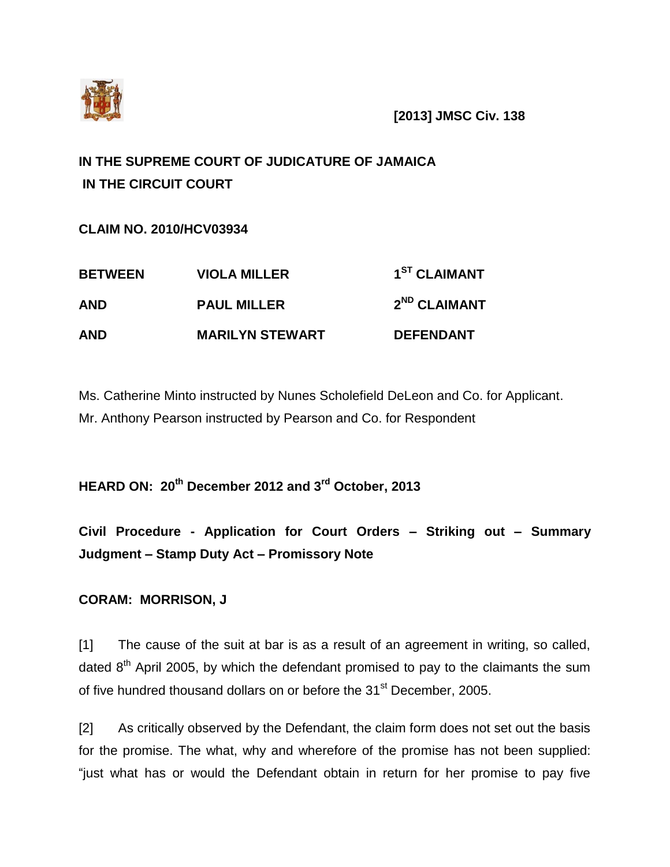

**[2013] JMSC Civ. 138**

# **IN THE SUPREME COURT OF JUDICATURE OF JAMAICA IN THE CIRCUIT COURT**

**CLAIM NO. 2010/HCV03934**

| <b>BETWEEN</b> | <b>VIOLA MILLER</b>    | 1 <sup>ST</sup> CLAIMANT |
|----------------|------------------------|--------------------------|
| <b>AND</b>     | <b>PAUL MILLER</b>     | 2 <sup>ND</sup> CLAIMANT |
| <b>AND</b>     | <b>MARILYN STEWART</b> | <b>DEFENDANT</b>         |

Ms. Catherine Minto instructed by Nunes Scholefield DeLeon and Co. for Applicant. Mr. Anthony Pearson instructed by Pearson and Co. for Respondent

**HEARD ON: 20th December 2012 and 3rd October, 2013**

**Civil Procedure - Application for Court Orders – Striking out – Summary Judgment – Stamp Duty Act – Promissory Note**

## **CORAM: MORRISON, J**

[1] The cause of the suit at bar is as a result of an agreement in writing, so called, dated  $8<sup>th</sup>$  April 2005, by which the defendant promised to pay to the claimants the sum of five hundred thousand dollars on or before the 31<sup>st</sup> December, 2005.

[2] As critically observed by the Defendant, the claim form does not set out the basis for the promise. The what, why and wherefore of the promise has not been supplied: "just what has or would the Defendant obtain in return for her promise to pay five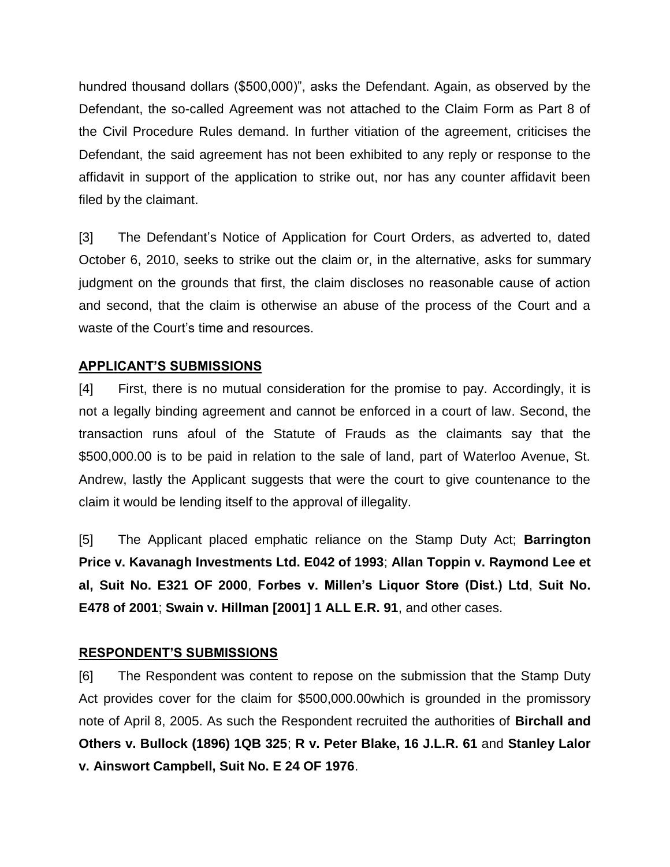hundred thousand dollars (\$500,000)", asks the Defendant. Again, as observed by the Defendant, the so-called Agreement was not attached to the Claim Form as Part 8 of the Civil Procedure Rules demand. In further vitiation of the agreement, criticises the Defendant, the said agreement has not been exhibited to any reply or response to the affidavit in support of the application to strike out, nor has any counter affidavit been filed by the claimant.

[3] The Defendant's Notice of Application for Court Orders, as adverted to, dated October 6, 2010, seeks to strike out the claim or, in the alternative, asks for summary judgment on the grounds that first, the claim discloses no reasonable cause of action and second, that the claim is otherwise an abuse of the process of the Court and a waste of the Court's time and resources.

## **APPLICANT'S SUBMISSIONS**

[4] First, there is no mutual consideration for the promise to pay. Accordingly, it is not a legally binding agreement and cannot be enforced in a court of law. Second, the transaction runs afoul of the Statute of Frauds as the claimants say that the \$500,000.00 is to be paid in relation to the sale of land, part of Waterloo Avenue, St. Andrew, lastly the Applicant suggests that were the court to give countenance to the claim it would be lending itself to the approval of illegality.

[5] The Applicant placed emphatic reliance on the Stamp Duty Act; **Barrington Price v. Kavanagh Investments Ltd. E042 of 1993**; **Allan Toppin v. Raymond Lee et al, Suit No. E321 OF 2000**, **Forbes v. Millen's Liquor Store (Dist.) Ltd**, **Suit No. E478 of 2001**; **Swain v. Hillman [2001] 1 ALL E.R. 91**, and other cases.

## **RESPONDENT'S SUBMISSIONS**

[6] The Respondent was content to repose on the submission that the Stamp Duty Act provides cover for the claim for \$500,000.00which is grounded in the promissory note of April 8, 2005. As such the Respondent recruited the authorities of **Birchall and Others v. Bullock (1896) 1QB 325**; **R v. Peter Blake, 16 J.L.R. 61** and **Stanley Lalor v. Ainswort Campbell, Suit No. E 24 OF 1976**.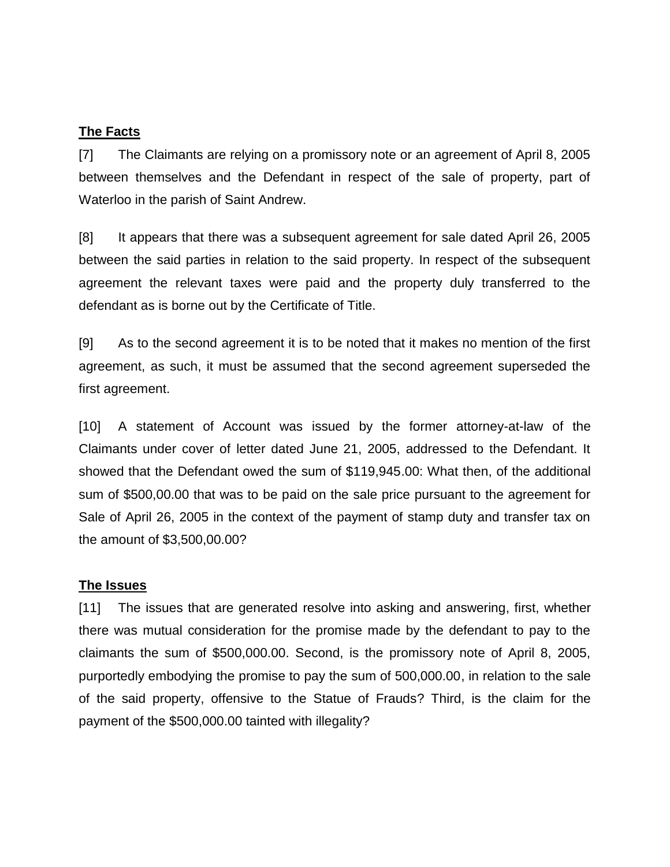#### **The Facts**

[7] The Claimants are relying on a promissory note or an agreement of April 8, 2005 between themselves and the Defendant in respect of the sale of property, part of Waterloo in the parish of Saint Andrew.

[8] It appears that there was a subsequent agreement for sale dated April 26, 2005 between the said parties in relation to the said property. In respect of the subsequent agreement the relevant taxes were paid and the property duly transferred to the defendant as is borne out by the Certificate of Title.

[9] As to the second agreement it is to be noted that it makes no mention of the first agreement, as such, it must be assumed that the second agreement superseded the first agreement.

[10] A statement of Account was issued by the former attorney-at-law of the Claimants under cover of letter dated June 21, 2005, addressed to the Defendant. It showed that the Defendant owed the sum of \$119,945.00: What then, of the additional sum of \$500,00.00 that was to be paid on the sale price pursuant to the agreement for Sale of April 26, 2005 in the context of the payment of stamp duty and transfer tax on the amount of \$3,500,00.00?

#### **The Issues**

[11] The issues that are generated resolve into asking and answering, first, whether there was mutual consideration for the promise made by the defendant to pay to the claimants the sum of \$500,000.00. Second, is the promissory note of April 8, 2005, purportedly embodying the promise to pay the sum of 500,000.00, in relation to the sale of the said property, offensive to the Statue of Frauds? Third, is the claim for the payment of the \$500,000.00 tainted with illegality?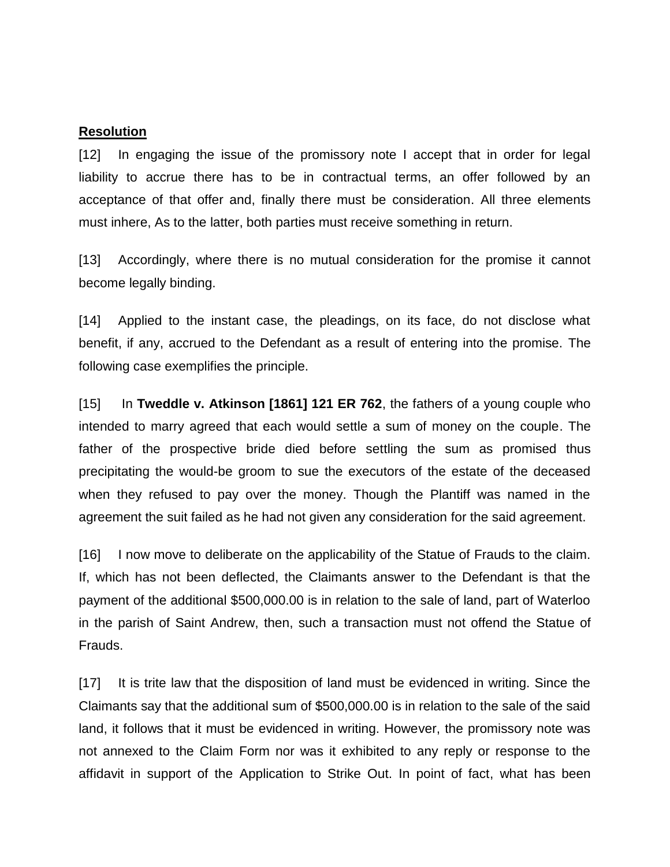#### **Resolution**

[12] In engaging the issue of the promissory note I accept that in order for legal liability to accrue there has to be in contractual terms, an offer followed by an acceptance of that offer and, finally there must be consideration. All three elements must inhere, As to the latter, both parties must receive something in return.

[13] Accordingly, where there is no mutual consideration for the promise it cannot become legally binding.

[14] Applied to the instant case, the pleadings, on its face, do not disclose what benefit, if any, accrued to the Defendant as a result of entering into the promise. The following case exemplifies the principle.

[15] In **Tweddle v. Atkinson [1861] 121 ER 762**, the fathers of a young couple who intended to marry agreed that each would settle a sum of money on the couple. The father of the prospective bride died before settling the sum as promised thus precipitating the would-be groom to sue the executors of the estate of the deceased when they refused to pay over the money. Though the Plantiff was named in the agreement the suit failed as he had not given any consideration for the said agreement.

[16] I now move to deliberate on the applicability of the Statue of Frauds to the claim. If, which has not been deflected, the Claimants answer to the Defendant is that the payment of the additional \$500,000.00 is in relation to the sale of land, part of Waterloo in the parish of Saint Andrew, then, such a transaction must not offend the Statue of Frauds.

[17] It is trite law that the disposition of land must be evidenced in writing. Since the Claimants say that the additional sum of \$500,000.00 is in relation to the sale of the said land, it follows that it must be evidenced in writing. However, the promissory note was not annexed to the Claim Form nor was it exhibited to any reply or response to the affidavit in support of the Application to Strike Out. In point of fact, what has been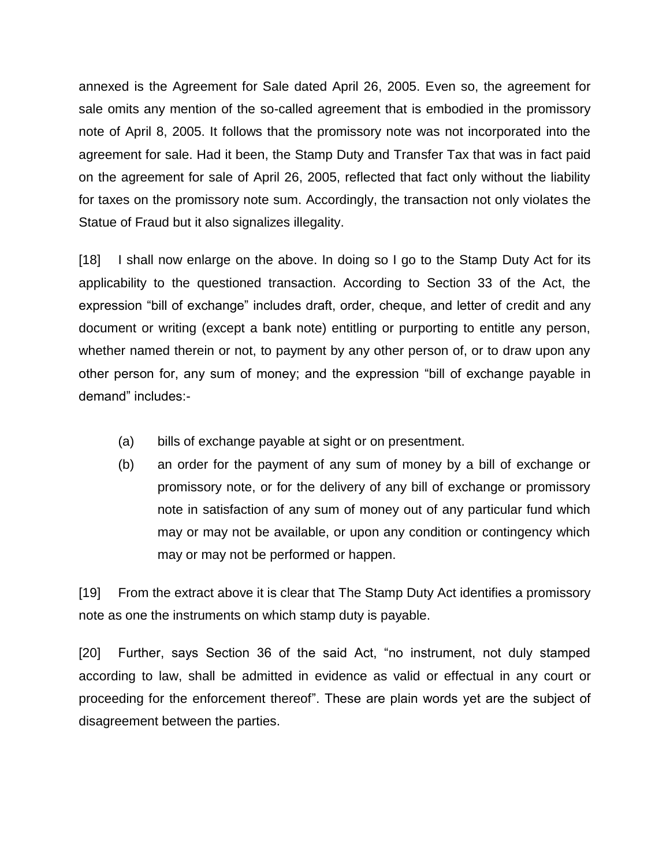annexed is the Agreement for Sale dated April 26, 2005. Even so, the agreement for sale omits any mention of the so-called agreement that is embodied in the promissory note of April 8, 2005. It follows that the promissory note was not incorporated into the agreement for sale. Had it been, the Stamp Duty and Transfer Tax that was in fact paid on the agreement for sale of April 26, 2005, reflected that fact only without the liability for taxes on the promissory note sum. Accordingly, the transaction not only violates the Statue of Fraud but it also signalizes illegality.

[18] I shall now enlarge on the above. In doing so I go to the Stamp Duty Act for its applicability to the questioned transaction. According to Section 33 of the Act, the expression "bill of exchange" includes draft, order, cheque, and letter of credit and any document or writing (except a bank note) entitling or purporting to entitle any person, whether named therein or not, to payment by any other person of, or to draw upon any other person for, any sum of money; and the expression "bill of exchange payable in demand" includes:-

- (a) bills of exchange payable at sight or on presentment.
- (b) an order for the payment of any sum of money by a bill of exchange or promissory note, or for the delivery of any bill of exchange or promissory note in satisfaction of any sum of money out of any particular fund which may or may not be available, or upon any condition or contingency which may or may not be performed or happen.

[19] From the extract above it is clear that The Stamp Duty Act identifies a promissory note as one the instruments on which stamp duty is payable.

[20] Further, says Section 36 of the said Act, "no instrument, not duly stamped according to law, shall be admitted in evidence as valid or effectual in any court or proceeding for the enforcement thereof". These are plain words yet are the subject of disagreement between the parties.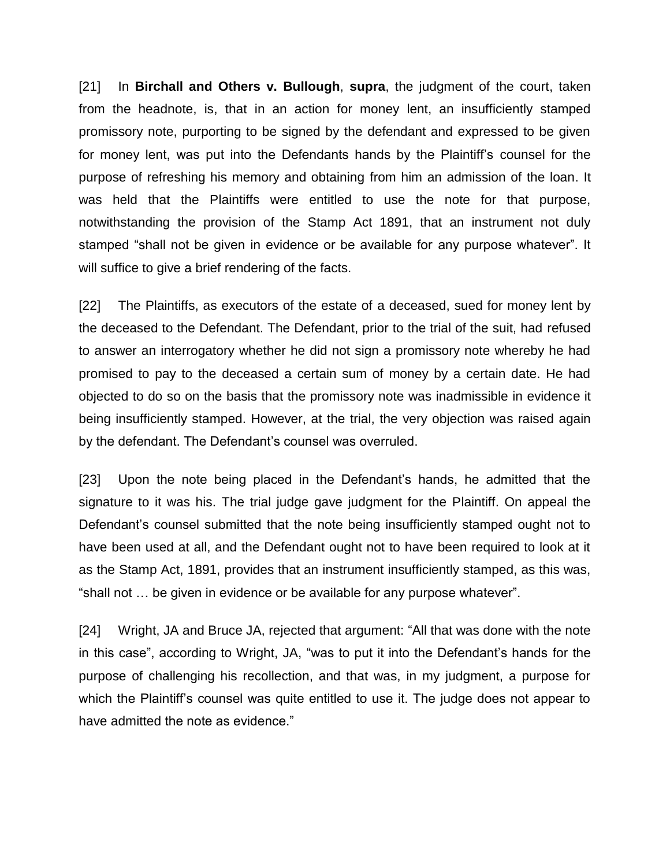[21] In **Birchall and Others v. Bullough**, **supra**, the judgment of the court, taken from the headnote, is, that in an action for money lent, an insufficiently stamped promissory note, purporting to be signed by the defendant and expressed to be given for money lent, was put into the Defendants hands by the Plaintiff's counsel for the purpose of refreshing his memory and obtaining from him an admission of the loan. It was held that the Plaintiffs were entitled to use the note for that purpose, notwithstanding the provision of the Stamp Act 1891, that an instrument not duly stamped "shall not be given in evidence or be available for any purpose whatever". It will suffice to give a brief rendering of the facts.

[22] The Plaintiffs, as executors of the estate of a deceased, sued for money lent by the deceased to the Defendant. The Defendant, prior to the trial of the suit, had refused to answer an interrogatory whether he did not sign a promissory note whereby he had promised to pay to the deceased a certain sum of money by a certain date. He had objected to do so on the basis that the promissory note was inadmissible in evidence it being insufficiently stamped. However, at the trial, the very objection was raised again by the defendant. The Defendant's counsel was overruled.

[23] Upon the note being placed in the Defendant's hands, he admitted that the signature to it was his. The trial judge gave judgment for the Plaintiff. On appeal the Defendant's counsel submitted that the note being insufficiently stamped ought not to have been used at all, and the Defendant ought not to have been required to look at it as the Stamp Act, 1891, provides that an instrument insufficiently stamped, as this was, "shall not … be given in evidence or be available for any purpose whatever".

[24] Wright, JA and Bruce JA, rejected that argument: "All that was done with the note in this case", according to Wright, JA, "was to put it into the Defendant's hands for the purpose of challenging his recollection, and that was, in my judgment, a purpose for which the Plaintiff's counsel was quite entitled to use it. The judge does not appear to have admitted the note as evidence."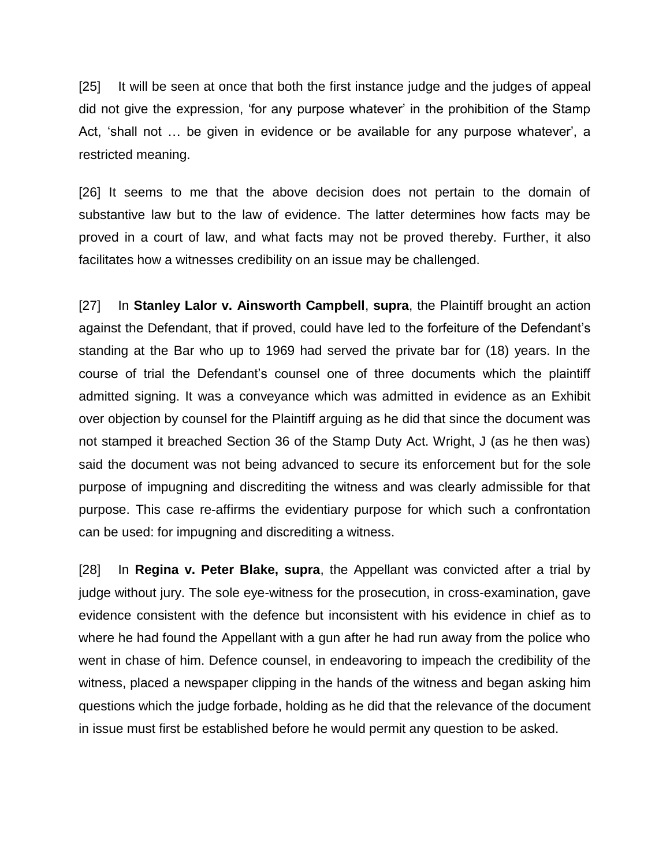[25] It will be seen at once that both the first instance judge and the judges of appeal did not give the expression, 'for any purpose whatever' in the prohibition of the Stamp Act, 'shall not … be given in evidence or be available for any purpose whatever', a restricted meaning.

[26] It seems to me that the above decision does not pertain to the domain of substantive law but to the law of evidence. The latter determines how facts may be proved in a court of law, and what facts may not be proved thereby. Further, it also facilitates how a witnesses credibility on an issue may be challenged.

[27] In **Stanley Lalor v. Ainsworth Campbell**, **supra**, the Plaintiff brought an action against the Defendant, that if proved, could have led to the forfeiture of the Defendant's standing at the Bar who up to 1969 had served the private bar for (18) years. In the course of trial the Defendant's counsel one of three documents which the plaintiff admitted signing. It was a conveyance which was admitted in evidence as an Exhibit over objection by counsel for the Plaintiff arguing as he did that since the document was not stamped it breached Section 36 of the Stamp Duty Act. Wright, J (as he then was) said the document was not being advanced to secure its enforcement but for the sole purpose of impugning and discrediting the witness and was clearly admissible for that purpose. This case re-affirms the evidentiary purpose for which such a confrontation can be used: for impugning and discrediting a witness.

[28] In **Regina v. Peter Blake, supra**, the Appellant was convicted after a trial by judge without jury. The sole eye-witness for the prosecution, in cross-examination, gave evidence consistent with the defence but inconsistent with his evidence in chief as to where he had found the Appellant with a gun after he had run away from the police who went in chase of him. Defence counsel, in endeavoring to impeach the credibility of the witness, placed a newspaper clipping in the hands of the witness and began asking him questions which the judge forbade, holding as he did that the relevance of the document in issue must first be established before he would permit any question to be asked.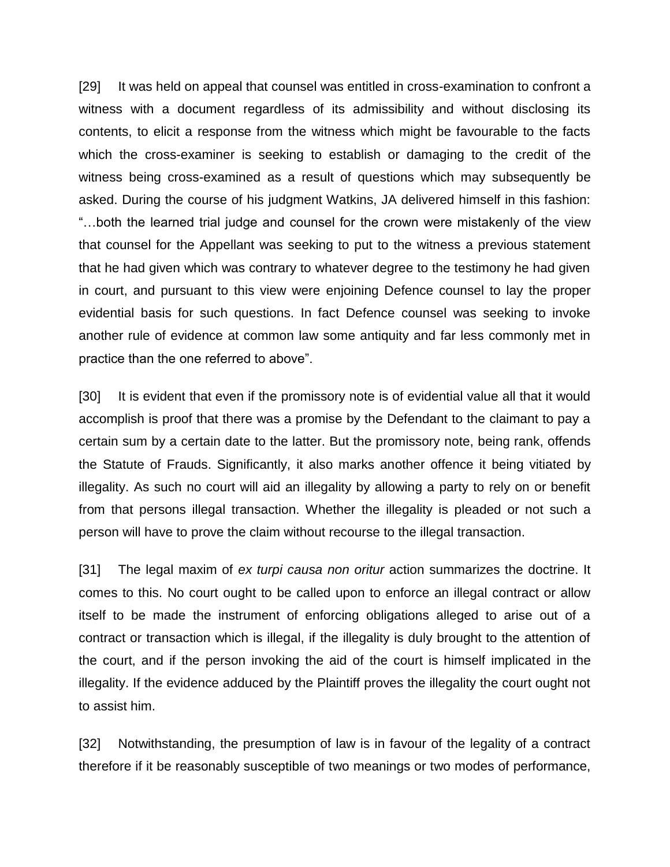[29] It was held on appeal that counsel was entitled in cross-examination to confront a witness with a document regardless of its admissibility and without disclosing its contents, to elicit a response from the witness which might be favourable to the facts which the cross-examiner is seeking to establish or damaging to the credit of the witness being cross-examined as a result of questions which may subsequently be asked. During the course of his judgment Watkins, JA delivered himself in this fashion: "…both the learned trial judge and counsel for the crown were mistakenly of the view that counsel for the Appellant was seeking to put to the witness a previous statement that he had given which was contrary to whatever degree to the testimony he had given in court, and pursuant to this view were enjoining Defence counsel to lay the proper evidential basis for such questions. In fact Defence counsel was seeking to invoke another rule of evidence at common law some antiquity and far less commonly met in practice than the one referred to above".

[30] It is evident that even if the promissory note is of evidential value all that it would accomplish is proof that there was a promise by the Defendant to the claimant to pay a certain sum by a certain date to the latter. But the promissory note, being rank, offends the Statute of Frauds. Significantly, it also marks another offence it being vitiated by illegality. As such no court will aid an illegality by allowing a party to rely on or benefit from that persons illegal transaction. Whether the illegality is pleaded or not such a person will have to prove the claim without recourse to the illegal transaction.

[31] The legal maxim of *ex turpi causa non oritur* action summarizes the doctrine. It comes to this. No court ought to be called upon to enforce an illegal contract or allow itself to be made the instrument of enforcing obligations alleged to arise out of a contract or transaction which is illegal, if the illegality is duly brought to the attention of the court, and if the person invoking the aid of the court is himself implicated in the illegality. If the evidence adduced by the Plaintiff proves the illegality the court ought not to assist him.

[32] Notwithstanding, the presumption of law is in favour of the legality of a contract therefore if it be reasonably susceptible of two meanings or two modes of performance,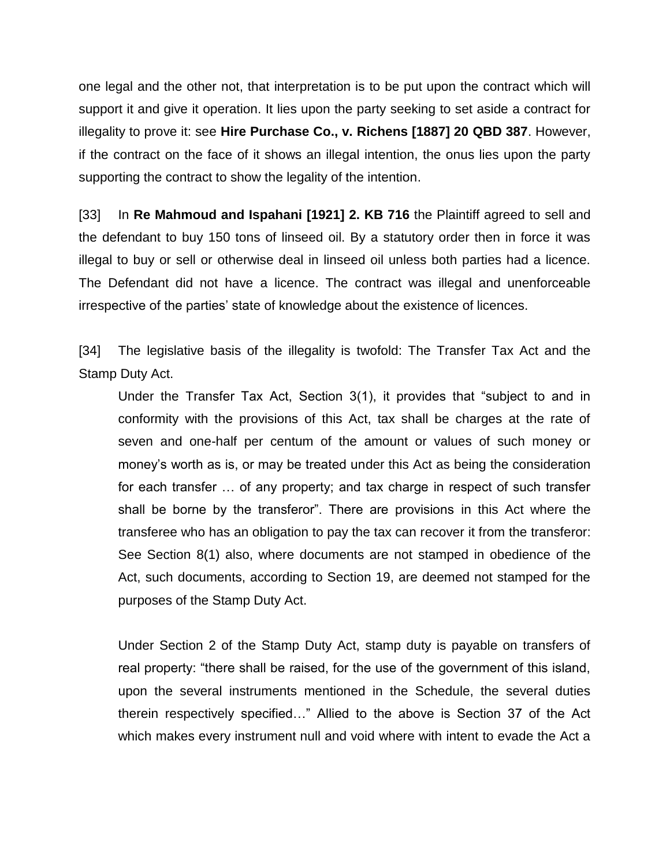one legal and the other not, that interpretation is to be put upon the contract which will support it and give it operation. It lies upon the party seeking to set aside a contract for illegality to prove it: see **Hire Purchase Co., v. Richens [1887] 20 QBD 387**. However, if the contract on the face of it shows an illegal intention, the onus lies upon the party supporting the contract to show the legality of the intention.

[33] In **Re Mahmoud and Ispahani [1921] 2. KB 716** the Plaintiff agreed to sell and the defendant to buy 150 tons of linseed oil. By a statutory order then in force it was illegal to buy or sell or otherwise deal in linseed oil unless both parties had a licence. The Defendant did not have a licence. The contract was illegal and unenforceable irrespective of the parties' state of knowledge about the existence of licences.

[34] The legislative basis of the illegality is twofold: The Transfer Tax Act and the Stamp Duty Act.

Under the Transfer Tax Act, Section 3(1), it provides that "subject to and in conformity with the provisions of this Act, tax shall be charges at the rate of seven and one-half per centum of the amount or values of such money or money's worth as is, or may be treated under this Act as being the consideration for each transfer … of any property; and tax charge in respect of such transfer shall be borne by the transferor". There are provisions in this Act where the transferee who has an obligation to pay the tax can recover it from the transferor: See Section 8(1) also, where documents are not stamped in obedience of the Act, such documents, according to Section 19, are deemed not stamped for the purposes of the Stamp Duty Act.

Under Section 2 of the Stamp Duty Act, stamp duty is payable on transfers of real property: "there shall be raised, for the use of the government of this island, upon the several instruments mentioned in the Schedule, the several duties therein respectively specified…" Allied to the above is Section 37 of the Act which makes every instrument null and void where with intent to evade the Act a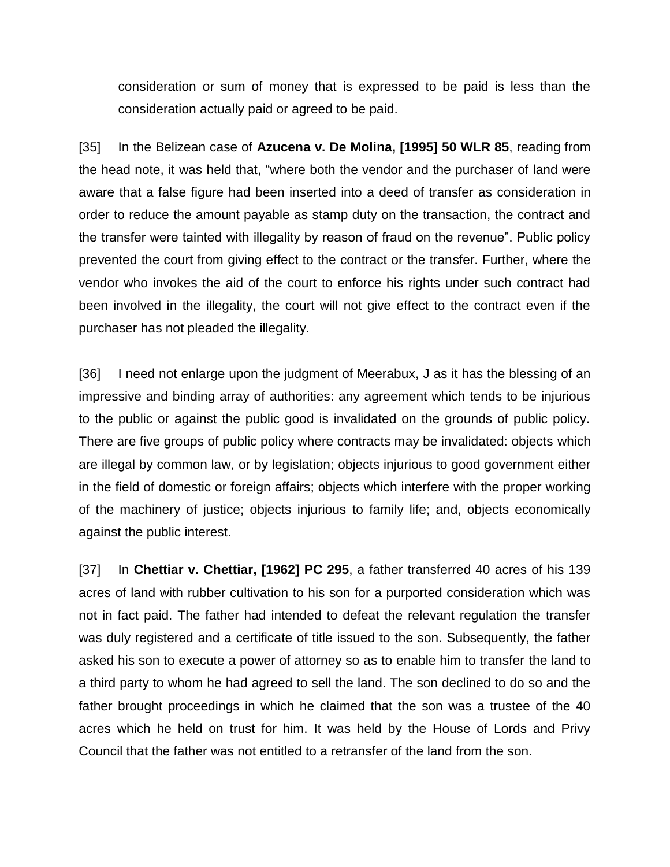consideration or sum of money that is expressed to be paid is less than the consideration actually paid or agreed to be paid.

[35] In the Belizean case of **Azucena v. De Molina, [1995] 50 WLR 85**, reading from the head note, it was held that, "where both the vendor and the purchaser of land were aware that a false figure had been inserted into a deed of transfer as consideration in order to reduce the amount payable as stamp duty on the transaction, the contract and the transfer were tainted with illegality by reason of fraud on the revenue". Public policy prevented the court from giving effect to the contract or the transfer. Further, where the vendor who invokes the aid of the court to enforce his rights under such contract had been involved in the illegality, the court will not give effect to the contract even if the purchaser has not pleaded the illegality.

[36] I need not enlarge upon the judgment of Meerabux, J as it has the blessing of an impressive and binding array of authorities: any agreement which tends to be injurious to the public or against the public good is invalidated on the grounds of public policy. There are five groups of public policy where contracts may be invalidated: objects which are illegal by common law, or by legislation; objects injurious to good government either in the field of domestic or foreign affairs; objects which interfere with the proper working of the machinery of justice; objects injurious to family life; and, objects economically against the public interest.

[37] In **Chettiar v. Chettiar, [1962] PC 295**, a father transferred 40 acres of his 139 acres of land with rubber cultivation to his son for a purported consideration which was not in fact paid. The father had intended to defeat the relevant regulation the transfer was duly registered and a certificate of title issued to the son. Subsequently, the father asked his son to execute a power of attorney so as to enable him to transfer the land to a third party to whom he had agreed to sell the land. The son declined to do so and the father brought proceedings in which he claimed that the son was a trustee of the 40 acres which he held on trust for him. It was held by the House of Lords and Privy Council that the father was not entitled to a retransfer of the land from the son.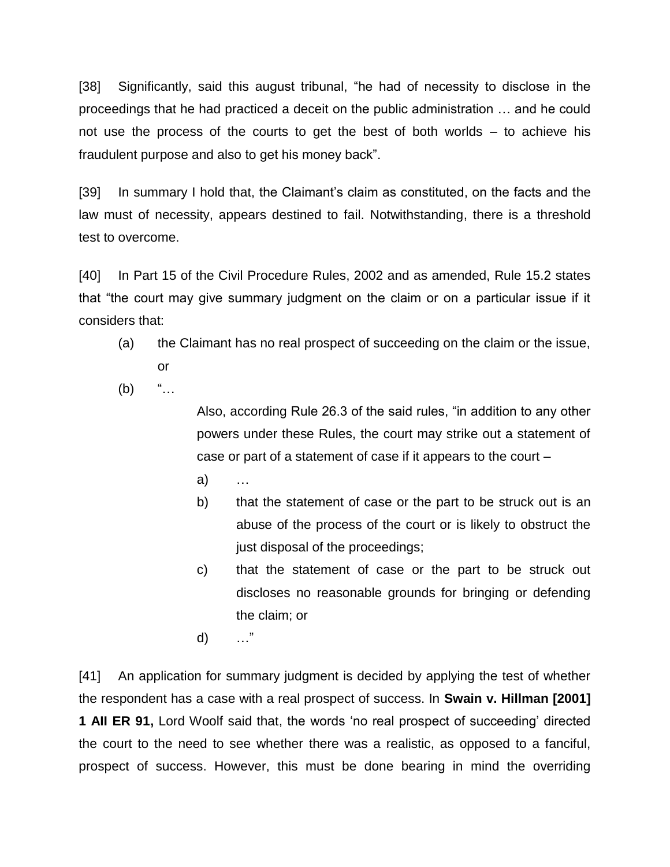[38] Significantly, said this august tribunal, "he had of necessity to disclose in the proceedings that he had practiced a deceit on the public administration … and he could not use the process of the courts to get the best of both worlds – to achieve his fraudulent purpose and also to get his money back".

[39] In summary I hold that, the Claimant's claim as constituted, on the facts and the law must of necessity, appears destined to fail. Notwithstanding, there is a threshold test to overcome.

[40] In Part 15 of the Civil Procedure Rules, 2002 and as amended, Rule 15.2 states that "the court may give summary judgment on the claim or on a particular issue if it considers that:

- (a) the Claimant has no real prospect of succeeding on the claim or the issue, or
- $(b)$  "...

Also, according Rule 26.3 of the said rules, "in addition to any other powers under these Rules, the court may strike out a statement of case or part of a statement of case if it appears to the court –

- a)
- b) that the statement of case or the part to be struck out is an abuse of the process of the court or is likely to obstruct the just disposal of the proceedings;
- c) that the statement of case or the part to be struck out discloses no reasonable grounds for bringing or defending the claim; or
- d) …"

[41] An application for summary judgment is decided by applying the test of whether the respondent has a case with a real prospect of success. In **Swain v. Hillman [2001] 1 AII ER 91,** Lord Woolf said that, the words 'no real prospect of succeeding' directed the court to the need to see whether there was a realistic, as opposed to a fanciful, prospect of success. However, this must be done bearing in mind the overriding